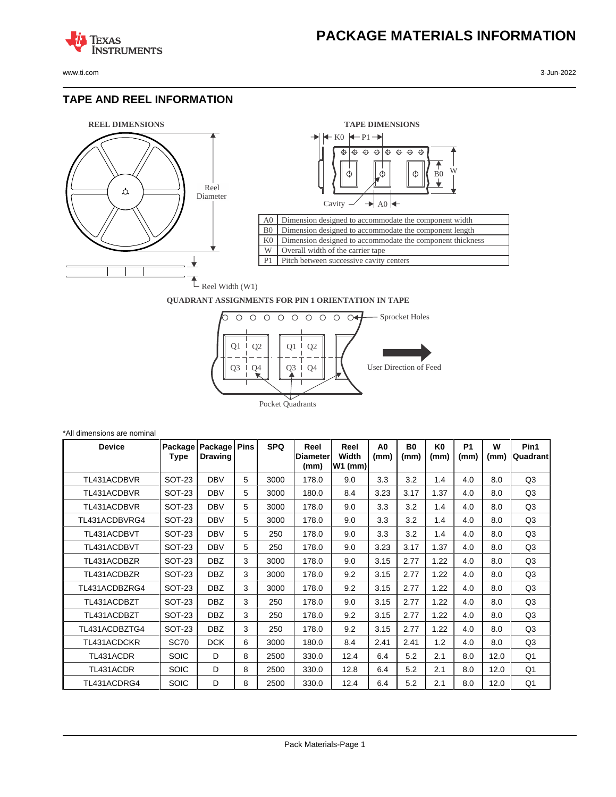www.ti.com 3-Jun-2022

**TEXAS** 

#### **TAPE AND REEL INFORMATION**

**ISTRUMENTS** 





#### **QUADRANT ASSIGNMENTS FOR PIN 1 ORIENTATION IN TAPE**



| *All dimensions are nominal |                 |                           |             |            |                                 |                            |                        |                        |                        |                   |           |                  |
|-----------------------------|-----------------|---------------------------|-------------|------------|---------------------------------|----------------------------|------------------------|------------------------|------------------------|-------------------|-----------|------------------|
| <b>Device</b>               | Package<br>Type | Package<br><b>Drawing</b> | <b>Pins</b> | <b>SPQ</b> | Reel<br><b>Diameter</b><br>(mm) | Reel<br>Width<br>$W1$ (mm) | A <sub>0</sub><br>(mm) | B <sub>0</sub><br>(mm) | K <sub>0</sub><br>(mm) | <b>P1</b><br>(mm) | W<br>(mm) | Pin1<br>Quadrant |
| TL431ACDBVR                 | <b>SOT-23</b>   | <b>DBV</b>                | 5           | 3000       | 178.0                           | 9.0                        | 3.3                    | 3.2                    | 1.4                    | 4.0               | 8.0       | Q3               |
| TL431ACDBVR                 | SOT-23          | <b>DBV</b>                | 5           | 3000       | 180.0                           | 8.4                        | 3.23                   | 3.17                   | 1.37                   | 4.0               | 8.0       | Q3               |
| TL431ACDBVR                 | <b>SOT-23</b>   | <b>DBV</b>                | 5           | 3000       | 178.0                           | 9.0                        | 3.3                    | 3.2                    | 1.4                    | 4.0               | 8.0       | Q3               |
| TL431ACDBVRG4               | <b>SOT-23</b>   | <b>DBV</b>                | 5           | 3000       | 178.0                           | 9.0                        | 3.3                    | 3.2                    | 1.4                    | 4.0               | 8.0       | Q3               |
| TL431ACDBVT                 | <b>SOT-23</b>   | <b>DBV</b>                | 5           | 250        | 178.0                           | 9.0                        | 3.3                    | 3.2                    | 1.4                    | 4.0               | 8.0       | Q3               |
| TL431ACDBVT                 | <b>SOT-23</b>   | <b>DBV</b>                | 5           | 250        | 178.0                           | 9.0                        | 3.23                   | 3.17                   | 1.37                   | 4.0               | 8.0       | Q3               |
| TL431ACDBZR                 | <b>SOT-23</b>   | <b>DBZ</b>                | 3           | 3000       | 178.0                           | 9.0                        | 3.15                   | 2.77                   | 1.22                   | 4.0               | 8.0       | Q3               |
| TL431ACDBZR                 | <b>SOT-23</b>   | <b>DBZ</b>                | 3           | 3000       | 178.0                           | 9.2                        | 3.15                   | 2.77                   | 1.22                   | 4.0               | 8.0       | Q3               |
| TL431ACDBZRG4               | <b>SOT-23</b>   | <b>DBZ</b>                | 3           | 3000       | 178.0                           | 9.2                        | 3.15                   | 2.77                   | 1.22                   | 4.0               | 8.0       | Q3               |
| TL431ACDBZT                 | <b>SOT-23</b>   | <b>DBZ</b>                | 3           | 250        | 178.0                           | 9.0                        | 3.15                   | 2.77                   | 1.22                   | 4.0               | 8.0       | Q3               |
| TL431ACDBZT                 | <b>SOT-23</b>   | <b>DBZ</b>                | 3           | 250        | 178.0                           | 9.2                        | 3.15                   | 2.77                   | 1.22                   | 4.0               | 8.0       | Q3               |
| TL431ACDBZTG4               | SOT-23          | <b>DBZ</b>                | 3           | 250        | 178.0                           | 9.2                        | 3.15                   | 2.77                   | 1.22                   | 4.0               | 8.0       | Q3               |
| TL431ACDCKR                 | <b>SC70</b>     | <b>DCK</b>                | 6           | 3000       | 180.0                           | 8.4                        | 2.41                   | 2.41                   | 1.2                    | 4.0               | 8.0       | Q3               |
| TL431ACDR                   | <b>SOIC</b>     | D                         | 8           | 2500       | 330.0                           | 12.4                       | 6.4                    | 5.2                    | 2.1                    | 8.0               | 12.0      | Q1               |
| TL431ACDR                   | <b>SOIC</b>     | D                         | 8           | 2500       | 330.0                           | 12.8                       | 6.4                    | 5.2                    | 2.1                    | 8.0               | 12.0      | Q1               |
| TL431ACDRG4                 | <b>SOIC</b>     | D                         | 8           | 2500       | 330.0                           | 12.4                       | 6.4                    | 5.2                    | 2.1                    | 8.0               | 12.0      | Q1               |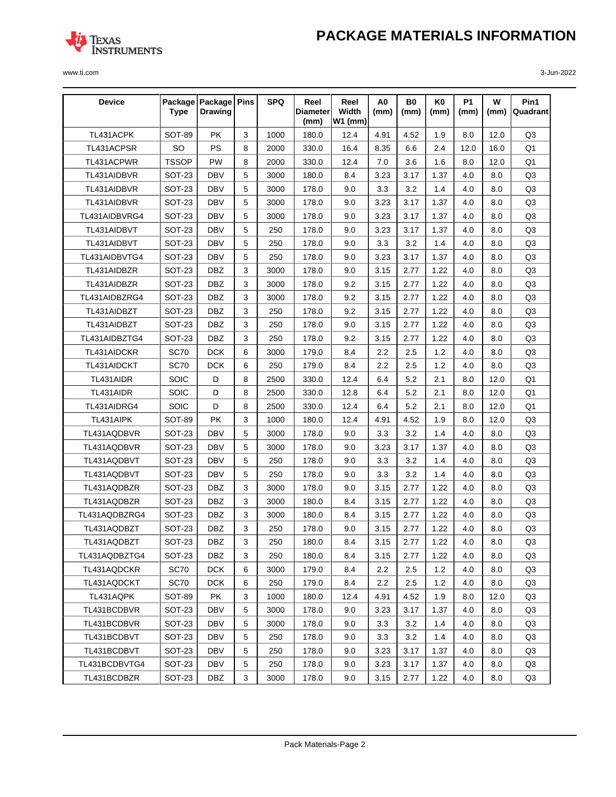

| <b>Device</b> | <b>Type</b>   | Package   Package   Pins<br><b>Drawing</b> |              | <b>SPQ</b> | Reel<br>Diameter | Reel<br>Width | A0<br>(mm) | <b>B0</b><br>(mm) | K0<br>(mm) | <b>P1</b><br>(mm) | W<br>(mm) | Pin1<br>Quadrant |
|---------------|---------------|--------------------------------------------|--------------|------------|------------------|---------------|------------|-------------------|------------|-------------------|-----------|------------------|
|               |               |                                            |              |            | (mm)             | $W1$ (mm)     |            |                   |            |                   |           |                  |
| TL431ACPK     | <b>SOT-89</b> | <b>PK</b>                                  | 3            | 1000       | 180.0            | 12.4          | 4.91       | 4.52              | 1.9        | 8.0               | 12.0      | Q3               |
| TL431ACPSR    | SO            | <b>PS</b>                                  | 8            | 2000       | 330.0            | 16.4          | 8.35       | 6.6               | 2.4        | 12.0              | 16.0      | Q <sub>1</sub>   |
| TL431ACPWR    | <b>TSSOP</b>  | PW                                         | 8            | 2000       | 330.0            | 12.4          | 7.0        | 3.6               | 1.6        | 8.0               | 12.0      | Q <sub>1</sub>   |
| TL431AIDBVR   | SOT-23        | <b>DBV</b>                                 | 5            | 3000       | 180.0            | 8.4           | 3.23       | 3.17              | 1.37       | 4.0               | 8.0       | Q3               |
| TL431AIDBVR   | SOT-23        | <b>DBV</b>                                 | 5            | 3000       | 178.0            | 9.0           | 3.3        | 3.2               | 1.4        | 4.0               | 8.0       | Q3               |
| TL431AIDBVR   | SOT-23        | <b>DBV</b>                                 | 5            | 3000       | 178.0            | 9.0           | 3.23       | 3.17              | 1.37       | 4.0               | 8.0       | Q <sub>3</sub>   |
| TL431AIDBVRG4 | SOT-23        | <b>DBV</b>                                 | 5            | 3000       | 178.0            | 9.0           | 3.23       | 3.17              | 1.37       | 4.0               | 8.0       | Q3               |
| TL431AIDBVT   | <b>SOT-23</b> | <b>DBV</b>                                 | 5            | 250        | 178.0            | 9.0           | 3.23       | 3.17              | 1.37       | 4.0               | 8.0       | Q3               |
| TL431AIDBVT   | SOT-23        | <b>DBV</b>                                 | 5            | 250        | 178.0            | 9.0           | 3.3        | 3.2               | 1.4        | 4.0               | 8.0       | Q3               |
| TL431AIDBVTG4 | SOT-23        | <b>DBV</b>                                 | 5            | 250        | 178.0            | 9.0           | 3.23       | 3.17              | 1.37       | 4.0               | 8.0       | Q <sub>3</sub>   |
| TL431AIDBZR   | SOT-23        | <b>DBZ</b>                                 | 3            | 3000       | 178.0            | 9.0           | 3.15       | 2.77              | 1.22       | 4.0               | 8.0       | Q3               |
| TL431AIDBZR   | SOT-23        | <b>DBZ</b>                                 | 3            | 3000       | 178.0            | 9.2           | 3.15       | 2.77              | 1.22       | 4.0               | 8.0       | Q3               |
| TL431AIDBZRG4 | SOT-23        | <b>DBZ</b>                                 | 3            | 3000       | 178.0            | 9.2           | 3.15       | 2.77              | 1.22       | 4.0               | 8.0       | Q <sub>3</sub>   |
| TL431AIDBZT   | <b>SOT-23</b> | <b>DBZ</b>                                 | 3            | 250        | 178.0            | 9.2           | 3.15       | 2.77              | 1.22       | 4.0               | 8.0       | Q <sub>3</sub>   |
| TL431AIDBZT   | <b>SOT-23</b> | <b>DBZ</b>                                 | 3            | 250        | 178.0            | 9.0           | 3.15       | 2.77              | 1.22       | 4.0               | 8.0       | Q3               |
| TL431AIDBZTG4 | <b>SOT-23</b> | <b>DBZ</b>                                 | 3            | 250        | 178.0            | 9.2           | 3.15       | 2.77              | 1.22       | 4.0               | 8.0       | Q3               |
| TL431AIDCKR   | <b>SC70</b>   | <b>DCK</b>                                 | 6            | 3000       | 179.0            | 8.4           | $2.2\,$    | 2.5               | 1.2        | 4.0               | 8.0       | Q3               |
| TL431AIDCKT   | <b>SC70</b>   | <b>DCK</b>                                 | 6            | 250        | 179.0            | 8.4           | $2.2\,$    | 2.5               | 1.2        | 4.0               | 8.0       | Q <sub>3</sub>   |
| TL431AIDR     | SOIC          | D                                          | 8            | 2500       | 330.0            | 12.4          | 6.4        | 5.2               | 2.1        | 8.0               | 12.0      | Q <sub>1</sub>   |
| TL431AIDR     | SOIC          | D                                          | 8            | 2500       | 330.0            | 12.8          | 6.4        | 5.2               | 2.1        | 8.0               | 12.0      | Q1               |
| TL431AIDRG4   | SOIC          | D                                          | 8            | 2500       | 330.0            | 12.4          | 6.4        | 5.2               | 2.1        | 8.0               | 12.0      | Q <sub>1</sub>   |
| TL431AIPK     | <b>SOT-89</b> | <b>PK</b>                                  | 3            | 1000       | 180.0            | 12.4          | 4.91       | 4.52              | 1.9        | 8.0               | 12.0      | Q <sub>3</sub>   |
| TL431AQDBVR   | SOT-23        | <b>DBV</b>                                 | 5            | 3000       | 178.0            | 9.0           | 3.3        | 3.2               | 1.4        | 4.0               | 8.0       | Q3               |
| TL431AQDBVR   | SOT-23        | <b>DBV</b>                                 | 5            | 3000       | 178.0            | 9.0           | 3.23       | 3.17              | 1.37       | 4.0               | 8.0       | Q3               |
| TL431AQDBVT   | SOT-23        | <b>DBV</b>                                 | 5            | 250        | 178.0            | 9.0           | 3.3        | 3.2               | 1.4        | 4.0               | 8.0       | Q3               |
| TL431AQDBVT   | SOT-23        | <b>DBV</b>                                 | 5            | 250        | 178.0            | 9.0           | 3.3        | 3.2               | 1.4        | 4.0               | 8.0       | Q <sub>3</sub>   |
| TL431AQDBZR   | SOT-23        | <b>DBZ</b>                                 | 3            | 3000       | 178.0            | 9.0           | 3.15       | 2.77              | 1.22       | 4.0               | 8.0       | Q3               |
| TL431AQDBZR   | SOT-23        | DBZ                                        | 3            | 3000       | 180.0            | 8.4           | 3.15       | 2.77              | 1.22       | 4.0               | 8.0       | Q3               |
| TL431AQDBZRG4 | SOT-23        | <b>DBZ</b>                                 | 3            | 3000       | 180.0            | 8.4           | 3.15       | 2.77              | 1.22       | 4.0               | 8.0       | Q3               |
| TL431AQDBZT   | SOT-23        | <b>DBZ</b>                                 | 3            | 250        | 178.0            | 9.0           | 3.15       | 2.77              | 1.22       | 4.0               | 8.0       | Q <sub>3</sub>   |
| TL431AQDBZT   | SOT-23        | DBZ                                        | $\mathbf{3}$ | 250        | 180.0            | 8.4           | 3.15       | 2.77              | 1.22       | 4.0               | 8.0       | Q3               |
| TL431AQDBZTG4 | SOT-23        | <b>DBZ</b>                                 | 3            | 250        | 180.0            | 8.4           | 3.15       | 2.77              | 1.22       | 4.0               | 8.0       | Q3               |
| TL431AQDCKR   | SC70          | <b>DCK</b>                                 | 6            | 3000       | 179.0            | 8.4           | 2.2        | 2.5               | 1.2        | 4.0               | 8.0       | Q3               |
| TL431AQDCKT   | <b>SC70</b>   | <b>DCK</b>                                 | 6            | 250        | 179.0            | 8.4           | 2.2        | 2.5               | 1.2        | 4.0               | 8.0       | Q3               |
| TL431AQPK     | SOT-89        | PK                                         | 3            | 1000       | 180.0            | 12.4          | 4.91       | 4.52              | 1.9        | 8.0               | 12.0      | Q3               |
| TL431BCDBVR   | <b>SOT-23</b> | DBV                                        | 5            | 3000       | 178.0            | 9.0           | 3.23       | 3.17              | 1.37       | 4.0               | 8.0       | Q3               |
| TL431BCDBVR   | <b>SOT-23</b> | DBV                                        | 5            | 3000       | 178.0            | 9.0           | 3.3        | 3.2               | 1.4        | 4.0               | 8.0       | Q3               |
| TL431BCDBVT   | SOT-23        | DBV                                        | 5            | 250        | 178.0            | 9.0           | 3.3        | 3.2               | 1.4        | 4.0               | 8.0       | Q3               |
| TL431BCDBVT   | SOT-23        | <b>DBV</b>                                 | 5            | 250        | 178.0            | 9.0           | 3.23       | 3.17              | 1.37       | 4.0               | 8.0       | Q3               |
| TL431BCDBVTG4 | SOT-23        | DBV                                        | 5            | 250        | 178.0            | 9.0           | 3.23       | 3.17              | 1.37       | 4.0               | 8.0       | Q3               |
| TL431BCDBZR   | SOT-23        | DBZ                                        | 3            | 3000       | 178.0            | 9.0           | 3.15       | 2.77              | 1.22       | 4.0               | 8.0       | Q3               |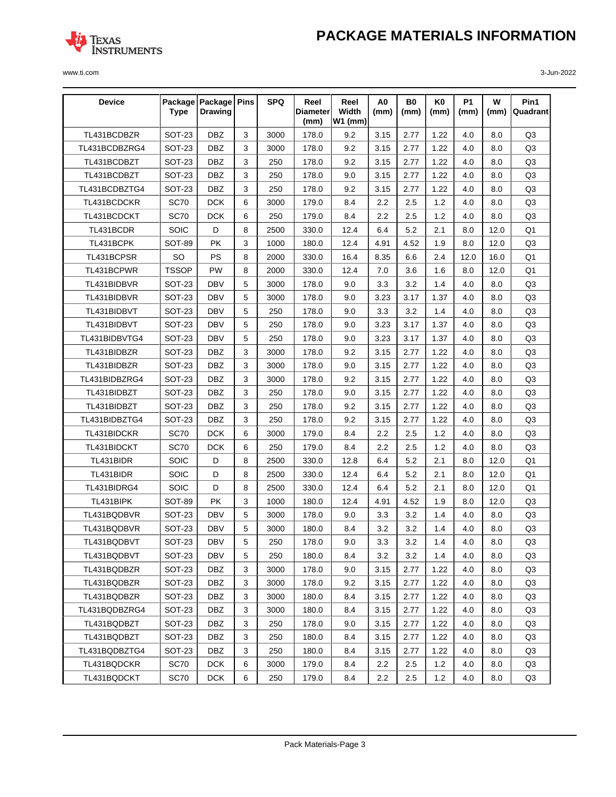

| <b>Device</b> | <b>Type</b>   | Package   Package   Pins<br><b>Drawing</b> |   | <b>SPQ</b> | Reel<br>Diameterl<br>(mm) | Reel<br>Width<br><b>W1 (mm)</b> | A <sub>0</sub><br>(mm) | B0<br>(mm) | K <sub>0</sub><br>(mm) | <b>P1</b><br>(mm) | W<br>(mm) | Pin1<br>Quadrant |
|---------------|---------------|--------------------------------------------|---|------------|---------------------------|---------------------------------|------------------------|------------|------------------------|-------------------|-----------|------------------|
| TL431BCDBZR   | <b>SOT-23</b> | <b>DBZ</b>                                 | 3 | 3000       | 178.0                     | 9.2                             | 3.15                   | 2.77       | 1.22                   | 4.0               | 8.0       | Q <sub>3</sub>   |
| TL431BCDBZRG4 | <b>SOT-23</b> | <b>DBZ</b>                                 | 3 | 3000       | 178.0                     | 9.2                             | 3.15                   | 2.77       | 1.22                   | 4.0               | 8.0       | Q <sub>3</sub>   |
| TL431BCDBZT   | SOT-23        | <b>DBZ</b>                                 | 3 | 250        | 178.0                     | 9.2                             | 3.15                   | 2.77       | 1.22                   | 4.0               | 8.0       | Q <sub>3</sub>   |
| TL431BCDBZT   | <b>SOT-23</b> | <b>DBZ</b>                                 | 3 | 250        | 178.0                     | 9.0                             | 3.15                   | 2.77       | 1.22                   | 4.0               | 8.0       | Q <sub>3</sub>   |
| TL431BCDBZTG4 | <b>SOT-23</b> | <b>DBZ</b>                                 | 3 | 250        | 178.0                     | 9.2                             | 3.15                   | 2.77       | 1.22                   | 4.0               | 8.0       | Q3               |
| TL431BCDCKR   | <b>SC70</b>   | <b>DCK</b>                                 | 6 | 3000       | 179.0                     | 8.4                             | 2.2                    | 2.5        | 1.2                    | 4.0               | 8.0       | Q <sub>3</sub>   |
| TL431BCDCKT   | <b>SC70</b>   | <b>DCK</b>                                 | 6 | 250        | 179.0                     | 8.4                             | 2.2                    | 2.5        | 1.2                    | 4.0               | 8.0       | Q <sub>3</sub>   |
| TL431BCDR     | SOIC          | D                                          | 8 | 2500       | 330.0                     | 12.4                            | 6.4                    | 5.2        | 2.1                    | 8.0               | 12.0      | Q <sub>1</sub>   |
| TL431BCPK     | <b>SOT-89</b> | <b>PK</b>                                  | 3 | 1000       | 180.0                     | 12.4                            | 4.91                   | 4.52       | 1.9                    | 8.0               | 12.0      | Q <sub>3</sub>   |
| TL431BCPSR    | SO            | PS                                         | 8 | 2000       | 330.0                     | 16.4                            | 8.35                   | 6.6        | 2.4                    | 12.0              | 16.0      | Q <sub>1</sub>   |
| TL431BCPWR    | <b>TSSOP</b>  | <b>PW</b>                                  | 8 | 2000       | 330.0                     | 12.4                            | 7.0                    | 3.6        | 1.6                    | 8.0               | 12.0      | Q1               |
| TL431BIDBVR   | SOT-23        | <b>DBV</b>                                 | 5 | 3000       | 178.0                     | 9.0                             | 3.3                    | 3.2        | 1.4                    | 4.0               | 8.0       | Q <sub>3</sub>   |
| TL431BIDBVR   | SOT-23        | <b>DBV</b>                                 | 5 | 3000       | 178.0                     | 9.0                             | 3.23                   | 3.17       | 1.37                   | 4.0               | 8.0       | Q3               |
| TL431BIDBVT   | <b>SOT-23</b> | <b>DBV</b>                                 | 5 | 250        | 178.0                     | 9.0                             | 3.3                    | 3.2        | 1.4                    | 4.0               | 8.0       | Q <sub>3</sub>   |
| TL431BIDBVT   | <b>SOT-23</b> | <b>DBV</b>                                 | 5 | 250        | 178.0                     | 9.0                             | 3.23                   | 3.17       | 1.37                   | 4.0               | 8.0       | Q <sub>3</sub>   |
| TL431BIDBVTG4 | <b>SOT-23</b> | <b>DBV</b>                                 | 5 | 250        | 178.0                     | 9.0                             | 3.23                   | 3.17       | 1.37                   | 4.0               | 8.0       | Q <sub>3</sub>   |
| TL431BIDBZR   | <b>SOT-23</b> | <b>DBZ</b>                                 | 3 | 3000       | 178.0                     | 9.2                             | 3.15                   | 2.77       | 1.22                   | 4.0               | 8.0       | Q <sub>3</sub>   |
| TL431BIDBZR   | <b>SOT-23</b> | <b>DBZ</b>                                 | 3 | 3000       | 178.0                     | 9.0                             | 3.15                   | 2.77       | 1.22                   | 4.0               | 8.0       | Q <sub>3</sub>   |
| TL431BIDBZRG4 | SOT-23        | <b>DBZ</b>                                 | 3 | 3000       | 178.0                     | 9.2                             | 3.15                   | 2.77       | 1.22                   | 4.0               | 8.0       | Q <sub>3</sub>   |
| TL431BIDBZT   | <b>SOT-23</b> | <b>DBZ</b>                                 | 3 | 250        | 178.0                     | 9.0                             | 3.15                   | 2.77       | 1.22                   | 4.0               | 8.0       | Q <sub>3</sub>   |
| TL431BIDBZT   | <b>SOT-23</b> | <b>DBZ</b>                                 | 3 | 250        | 178.0                     | 9.2                             | 3.15                   | 2.77       | 1.22                   | 4.0               | 8.0       | Q <sub>3</sub>   |
| TL431BIDBZTG4 | <b>SOT-23</b> | <b>DBZ</b>                                 | 3 | 250        | 178.0                     | 9.2                             | 3.15                   | 2.77       | 1.22                   | 4.0               | 8.0       | Q <sub>3</sub>   |
| TL431BIDCKR   | <b>SC70</b>   | <b>DCK</b>                                 | 6 | 3000       | 179.0                     | 8.4                             | 2.2                    | 2.5        | 1.2                    | 4.0               | 8.0       | Q <sub>3</sub>   |
| TL431BIDCKT   | <b>SC70</b>   | <b>DCK</b>                                 | 6 | 250        | 179.0                     | 8.4                             | 2.2                    | 2.5        | 1.2                    | 4.0               | 8.0       | Q <sub>3</sub>   |
| TL431BIDR     | SOIC          | D                                          | 8 | 2500       | 330.0                     | 12.8                            | 6.4                    | 5.2        | 2.1                    | 8.0               | 12.0      | Q1               |
| TL431BIDR     | SOIC          | D                                          | 8 | 2500       | 330.0                     | 12.4                            | 6.4                    | 5.2        | 2.1                    | 8.0               | 12.0      | Q <sub>1</sub>   |
| TL431BIDRG4   | <b>SOIC</b>   | D                                          | 8 | 2500       | 330.0                     | 12.4                            | 6.4                    | 5.2        | 2.1                    | 8.0               | 12.0      | Q <sub>1</sub>   |
| TL431BIPK     | <b>SOT-89</b> | <b>PK</b>                                  | 3 | 1000       | 180.0                     | 12.4                            | 4.91                   | 4.52       | 1.9                    | 8.0               | 12.0      | Q <sub>3</sub>   |
| TL431BQDBVR   | <b>SOT-23</b> | <b>DBV</b>                                 | 5 | 3000       | 178.0                     | 9.0                             | 3.3                    | 3.2        | 1.4                    | 4.0               | 8.0       | Q <sub>3</sub>   |
| TL431BQDBVR   | SOT-23        | <b>DBV</b>                                 | 5 | 3000       | 180.0                     | 8.4                             | 3.2                    | 3.2        | 1.4                    | 4.0               | 8.0       | Q3               |
| TL431BQDBVT   | <b>SOT-23</b> | DBV                                        | 5 | 250        | 178.0                     | 9.0                             | 3.3                    | $3.2\,$    | $1.4$                  | 4.0               | 8.0       | Q3               |
| TL431BQDBVT   | SOT-23        | DBV                                        | 5 | 250        | 180.0                     | 8.4                             | 3.2                    | 3.2        | 1.4                    | 4.0               | 8.0       | Q3               |
| TL431BQDBZR   | <b>SOT-23</b> | <b>DBZ</b>                                 | 3 | 3000       | 178.0                     | 9.0                             | 3.15                   | 2.77       | 1.22                   | 4.0               | 8.0       | Q3               |
| TL431BQDBZR   | SOT-23        | <b>DBZ</b>                                 | 3 | 3000       | 178.0                     | 9.2                             | 3.15                   | 2.77       | 1.22                   | 4.0               | 8.0       | Q3               |
| TL431BQDBZR   | SOT-23        | DBZ                                        | 3 | 3000       | 180.0                     | 8.4                             | 3.15                   | 2.77       | 1.22                   | 4.0               | 8.0       | Q3               |
| TL431BQDBZRG4 | SOT-23        | DBZ                                        | 3 | 3000       | 180.0                     | 8.4                             | 3.15                   | 2.77       | 1.22                   | 4.0               | 8.0       | Q3               |
| TL431BQDBZT   | <b>SOT-23</b> | DBZ                                        | 3 | 250        | 178.0                     | 9.0                             | 3.15                   | 2.77       | 1.22                   | 4.0               | 8.0       | Q3               |
| TL431BQDBZT   | SOT-23        | DBZ                                        | 3 | 250        | 180.0                     | 8.4                             | 3.15                   | 2.77       | 1.22                   | 4.0               | 8.0       | Q3               |
| TL431BQDBZTG4 | SOT-23        | DBZ                                        | 3 | 250        | 180.0                     | 8.4                             | 3.15                   | 2.77       | 1.22                   | 4.0               | 8.0       | Q3               |
| TL431BQDCKR   | SC70          | <b>DCK</b>                                 | 6 | 3000       | 179.0                     | 8.4                             | 2.2                    | 2.5        | 1.2                    | 4.0               | 8.0       | Q3               |
| TL431BQDCKT   | SC70          | <b>DCK</b>                                 | 6 | 250        | 179.0                     | 8.4                             | 2.2                    | 2.5        | 1.2                    | 4.0               | 8.0       | Q3               |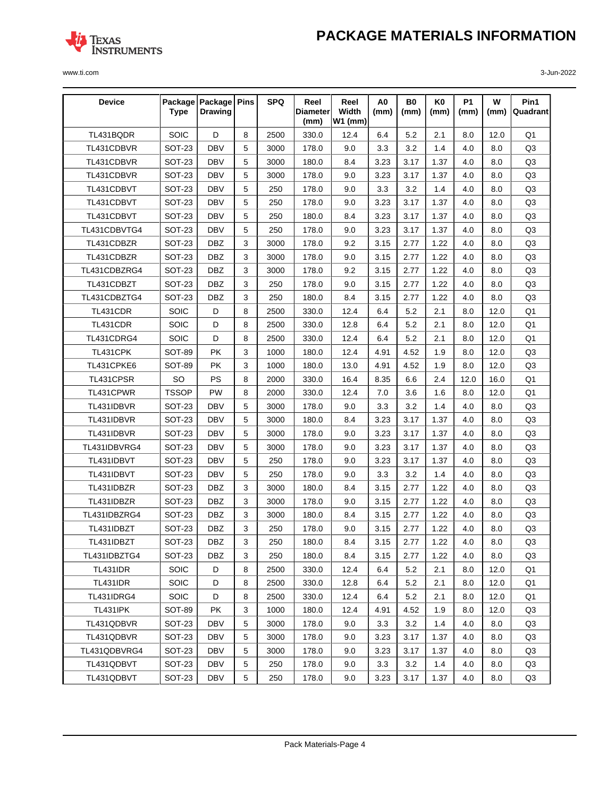

| <b>Device</b>   | <b>Type</b>   | Package   Package   Pins<br><b>Drawing</b> |             | <b>SPQ</b> | Reel<br>Diameter | Reel<br>Width | A0<br>(mm) | <b>B0</b><br>(mm) | K0<br>(mm) | <b>P1</b><br>(mm) | W<br>(mm) | Pin1<br>Quadrant |
|-----------------|---------------|--------------------------------------------|-------------|------------|------------------|---------------|------------|-------------------|------------|-------------------|-----------|------------------|
|                 |               |                                            |             |            | (mm)             | $W1$ (mm)     |            |                   |            |                   |           |                  |
| TL431BQDR       | SOIC          | D                                          | 8           | 2500       | 330.0            | 12.4          | 6.4        | 5.2               | 2.1        | 8.0               | 12.0      | Q <sub>1</sub>   |
| TL431CDBVR      | SOT-23        | <b>DBV</b>                                 | 5           | 3000       | 178.0            | 9.0           | 3.3        | 3.2               | 1.4        | 4.0               | 8.0       | Q <sub>3</sub>   |
| TL431CDBVR      | SOT-23        | <b>DBV</b>                                 | 5           | 3000       | 180.0            | 8.4           | 3.23       | 3.17              | 1.37       | 4.0               | 8.0       | Q3               |
| TL431CDBVR      | SOT-23        | <b>DBV</b>                                 | 5           | 3000       | 178.0            | 9.0           | 3.23       | 3.17              | 1.37       | 4.0               | 8.0       | Q3               |
| TL431CDBVT      | <b>SOT-23</b> | <b>DBV</b>                                 | 5           | 250        | 178.0            | 9.0           | 3.3        | 3.2               | 1.4        | 4.0               | 8.0       | Q <sub>3</sub>   |
| TL431CDBVT      | SOT-23        | <b>DBV</b>                                 | 5           | 250        | 178.0            | 9.0           | 3.23       | 3.17              | 1.37       | 4.0               | 8.0       | Q <sub>3</sub>   |
| TL431CDBVT      | SOT-23        | <b>DBV</b>                                 | 5           | 250        | 180.0            | 8.4           | 3.23       | 3.17              | 1.37       | 4.0               | 8.0       | Q3               |
| TL431CDBVTG4    | <b>SOT-23</b> | <b>DBV</b>                                 | 5           | 250        | 178.0            | 9.0           | 3.23       | 3.17              | 1.37       | 4.0               | 8.0       | Q3               |
| TL431CDBZR      | SOT-23        | <b>DBZ</b>                                 | 3           | 3000       | 178.0            | 9.2           | 3.15       | 2.77              | 1.22       | 4.0               | 8.0       | Q3               |
| TL431CDBZR      | SOT-23        | <b>DBZ</b>                                 | 3           | 3000       | 178.0            | 9.0           | 3.15       | 2.77              | 1.22       | 4.0               | 8.0       | Q <sub>3</sub>   |
| TL431CDBZRG4    | SOT-23        | <b>DBZ</b>                                 | 3           | 3000       | 178.0            | 9.2           | 3.15       | 2.77              | 1.22       | 4.0               | 8.0       | Q3               |
| TL431CDBZT      | SOT-23        | <b>DBZ</b>                                 | 3           | 250        | 178.0            | 9.0           | 3.15       | 2.77              | 1.22       | 4.0               | 8.0       | Q3               |
| TL431CDBZTG4    | SOT-23        | <b>DBZ</b>                                 | 3           | 250        | 180.0            | 8.4           | 3.15       | 2.77              | 1.22       | 4.0               | 8.0       | Q <sub>3</sub>   |
| TL431CDR        | SOIC          | D                                          | 8           | 2500       | 330.0            | 12.4          | 6.4        | 5.2               | 2.1        | 8.0               | 12.0      | Q <sub>1</sub>   |
| TL431CDR        | SOIC          | D                                          | 8           | 2500       | 330.0            | 12.8          | 6.4        | 5.2               | 2.1        | 8.0               | 12.0      | Q <sub>1</sub>   |
| TL431CDRG4      | SOIC          | D                                          | 8           | 2500       | 330.0            | 12.4          | 6.4        | 5.2               | 2.1        | 8.0               | 12.0      | Q1               |
| TL431CPK        | <b>SOT-89</b> | PK                                         | 3           | 1000       | 180.0            | 12.4          | 4.91       | 4.52              | 1.9        | 8.0               | 12.0      | Q3               |
| TL431CPKE6      | <b>SOT-89</b> | PK                                         | 3           | 1000       | 180.0            | 13.0          | 4.91       | 4.52              | 1.9        | 8.0               | 12.0      | Q <sub>3</sub>   |
| TL431CPSR       | SO            | PS                                         | 8           | 2000       | 330.0            | 16.4          | 8.35       | 6.6               | 2.4        | 12.0              | 16.0      | Q <sub>1</sub>   |
| TL431CPWR       | <b>TSSOP</b>  | PW                                         | 8           | 2000       | 330.0            | 12.4          | 7.0        | 3.6               | 1.6        | 8.0               | 12.0      | Q1               |
| TL431IDBVR      | <b>SOT-23</b> | <b>DBV</b>                                 | 5           | 3000       | 178.0            | 9.0           | 3.3        | 3.2               | 1.4        | 4.0               | 8.0       | Q <sub>3</sub>   |
| TL431IDBVR      | SOT-23        | <b>DBV</b>                                 | 5           | 3000       | 180.0            | 8.4           | 3.23       | 3.17              | 1.37       | 4.0               | 8.0       | Q <sub>3</sub>   |
| TL431IDBVR      | SOT-23        | <b>DBV</b>                                 | 5           | 3000       | 178.0            | 9.0           | 3.23       | 3.17              | 1.37       | 4.0               | 8.0       | Q3               |
| TL431IDBVRG4    | SOT-23        | <b>DBV</b>                                 | 5           | 3000       | 178.0            | 9.0           | 3.23       | 3.17              | 1.37       | 4.0               | 8.0       | Q3               |
| TL431IDBVT      | SOT-23        | <b>DBV</b>                                 | 5           | 250        | 178.0            | 9.0           | 3.23       | 3.17              | 1.37       | 4.0               | 8.0       | Q3               |
| TL431IDBVT      | SOT-23        | <b>DBV</b>                                 | 5           | 250        | 178.0            | 9.0           | 3.3        | 3.2               | 1.4        | 4.0               | 8.0       | Q <sub>3</sub>   |
| TL431IDBZR      | <b>SOT-23</b> | <b>DBZ</b>                                 | 3           | 3000       | 180.0            | 8.4           | 3.15       | 2.77              | 1.22       | 4.0               | 8.0       | Q3               |
| TL431IDBZR      | SOT-23        | DBZ                                        | 3           | 3000       | 178.0            | 9.0           | 3.15       | 2.77              | 1.22       | 4.0               | 8.0       | Q3               |
| TL431IDBZRG4    | <b>SOT-23</b> | <b>DBZ</b>                                 | 3           | 3000       | 180.0            | 8.4           | 3.15       | 2.77              | 1.22       | 4.0               | 8.0       | Q3               |
| TL431IDBZT      | SOT-23        | <b>DBZ</b>                                 | 3           | 250        | 178.0            | 9.0           | 3.15       | 2.77              | 1.22       | 4.0               | 8.0       | Q <sub>3</sub>   |
| TL431IDBZT      | SOT-23        | DBZ                                        | $\mathsf 3$ | 250        | 180.0            | 8.4           | 3.15       | 2.77              | 1.22       | 4.0               | 8.0       | Q3               |
| TL431IDBZTG4    | SOT-23        | DBZ                                        | 3           | 250        | 180.0            | 8.4           | 3.15       | 2.77              | 1.22       | 4.0               | 8.0       | Q3               |
| TL431IDR        | <b>SOIC</b>   | D                                          | 8           | 2500       | 330.0            | 12.4          | 6.4        | 5.2               | 2.1        | 8.0               | 12.0      | Q1               |
| TL431IDR        | <b>SOIC</b>   | D                                          | 8           | 2500       | 330.0            | 12.8          | 6.4        | 5.2               | 2.1        | 8.0               | 12.0      | Q1               |
| TL431IDRG4      | <b>SOIC</b>   | D                                          | 8           | 2500       | 330.0            | 12.4          | 6.4        | 5.2               | 2.1        | 8.0               | 12.0      | Q1               |
| <b>TL431IPK</b> | <b>SOT-89</b> | PK                                         | 3           | 1000       | 180.0            | 12.4          | 4.91       | 4.52              | 1.9        | 8.0               | 12.0      | Q3               |
| TL431QDBVR      | <b>SOT-23</b> | <b>DBV</b>                                 | 5           | 3000       | 178.0            | 9.0           | 3.3        | 3.2               | 1.4        | 4.0               | 8.0       | Q3               |
| TL431QDBVR      | <b>SOT-23</b> | DBV                                        | 5           | 3000       | 178.0            | 9.0           | 3.23       | 3.17              | 1.37       | 4.0               | 8.0       | Q3               |
| TL431QDBVRG4    | SOT-23        | DBV                                        | 5           | 3000       | 178.0            | 9.0           | 3.23       | 3.17              | 1.37       | 4.0               | 8.0       | Q3               |
| TL431QDBVT      | SOT-23        | <b>DBV</b>                                 | 5           | 250        | 178.0            | 9.0           | 3.3        | 3.2               | 1.4        | 4.0               | 8.0       | Q3               |
| TL431QDBVT      | SOT-23        | <b>DBV</b>                                 | 5           | 250        | 178.0            | 9.0           | 3.23       | 3.17              | 1.37       | 4.0               | 8.0       | Q3               |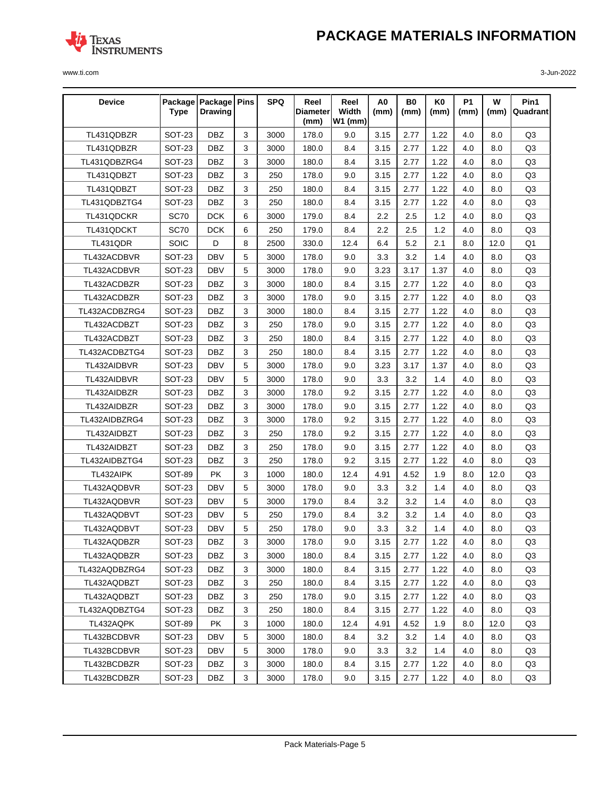

| <b>Device</b> | <b>Type</b>   | Package   Package   Pins<br><b>Drawing</b> |              | <b>SPQ</b> | Reel<br>Diameter | Reel<br>Width | A0<br>(mm) | B0<br>(mm) | K0<br>(mm) | <b>P1</b><br>(mm) | W<br>(mm) | Pin1<br>Quadrant |
|---------------|---------------|--------------------------------------------|--------------|------------|------------------|---------------|------------|------------|------------|-------------------|-----------|------------------|
|               |               |                                            |              |            | (mm)             | $W1$ (mm)     |            |            |            |                   |           |                  |
| TL431QDBZR    | SOT-23        | <b>DBZ</b>                                 | 3            | 3000       | 178.0            | 9.0           | 3.15       | 2.77       | 1.22       | 4.0               | 8.0       | Q3               |
| TL431QDBZR    | SOT-23        | <b>DBZ</b>                                 | 3            | 3000       | 180.0            | 8.4           | 3.15       | 2.77       | 1.22       | 4.0               | 8.0       | Q3               |
| TL431QDBZRG4  | SOT-23        | <b>DBZ</b>                                 | 3            | 3000       | 180.0            | 8.4           | 3.15       | 2.77       | 1.22       | 4.0               | 8.0       | Q3               |
| TL431QDBZT    | SOT-23        | <b>DBZ</b>                                 | 3            | 250        | 178.0            | 9.0           | 3.15       | 2.77       | 1.22       | 4.0               | 8.0       | Q3               |
| TL431QDBZT    | SOT-23        | <b>DBZ</b>                                 | 3            | 250        | 180.0            | 8.4           | 3.15       | 2.77       | 1.22       | 4.0               | 8.0       | Q <sub>3</sub>   |
| TL431QDBZTG4  | <b>SOT-23</b> | <b>DBZ</b>                                 | 3            | 250        | 180.0            | 8.4           | 3.15       | 2.77       | 1.22       | 4.0               | 8.0       | Q <sub>3</sub>   |
| TL431QDCKR    | <b>SC70</b>   | <b>DCK</b>                                 | 6            | 3000       | 179.0            | 8.4           | 2.2        | 2.5        | 1.2        | 4.0               | 8.0       | Q3               |
| TL431QDCKT    | <b>SC70</b>   | <b>DCK</b>                                 | 6            | 250        | 179.0            | 8.4           | 2.2        | 2.5        | 1.2        | 4.0               | 8.0       | Q <sub>3</sub>   |
| TL431QDR      | <b>SOIC</b>   | D                                          | 8            | 2500       | 330.0            | 12.4          | 6.4        | 5.2        | 2.1        | 8.0               | 12.0      | Q1               |
| TL432ACDBVR   | SOT-23        | <b>DBV</b>                                 | 5            | 3000       | 178.0            | 9.0           | 3.3        | 3.2        | 1.4        | 4.0               | 8.0       | Q3               |
| TL432ACDBVR   | <b>SOT-23</b> | <b>DBV</b>                                 | 5            | 3000       | 178.0            | 9.0           | 3.23       | 3.17       | 1.37       | 4.0               | 8.0       | Q3               |
| TL432ACDBZR   | SOT-23        | <b>DBZ</b>                                 | 3            | 3000       | 180.0            | 8.4           | 3.15       | 2.77       | 1.22       | 4.0               | 8.0       | Q3               |
| TL432ACDBZR   | <b>SOT-23</b> | <b>DBZ</b>                                 | 3            | 3000       | 178.0            | 9.0           | 3.15       | 2.77       | 1.22       | 4.0               | 8.0       | Q <sub>3</sub>   |
| TL432ACDBZRG4 | SOT-23        | <b>DBZ</b>                                 | 3            | 3000       | 180.0            | 8.4           | 3.15       | 2.77       | 1.22       | 4.0               | 8.0       | Q3               |
| TL432ACDBZT   | SOT-23        | <b>DBZ</b>                                 | 3            | 250        | 178.0            | 9.0           | 3.15       | 2.77       | 1.22       | 4.0               | 8.0       | Q3               |
| TL432ACDBZT   | <b>SOT-23</b> | <b>DBZ</b>                                 | 3            | 250        | 180.0            | 8.4           | 3.15       | 2.77       | 1.22       | 4.0               | 8.0       | Q <sub>3</sub>   |
| TL432ACDBZTG4 | SOT-23        | <b>DBZ</b>                                 | 3            | 250        | 180.0            | 8.4           | 3.15       | 2.77       | 1.22       | 4.0               | 8.0       | Q3               |
| TL432AIDBVR   | SOT-23        | <b>DBV</b>                                 | 5            | 3000       | 178.0            | 9.0           | 3.23       | 3.17       | 1.37       | 4.0               | 8.0       | Q3               |
| TL432AIDBVR   | SOT-23        | <b>DBV</b>                                 | 5            | 3000       | 178.0            | 9.0           | 3.3        | 3.2        | 1.4        | 4.0               | 8.0       | Q3               |
| TL432AIDBZR   | SOT-23        | <b>DBZ</b>                                 | 3            | 3000       | 178.0            | 9.2           | 3.15       | 2.77       | 1.22       | 4.0               | 8.0       | Q3               |
| TL432AIDBZR   | SOT-23        | <b>DBZ</b>                                 | 3            | 3000       | 178.0            | 9.0           | 3.15       | 2.77       | 1.22       | 4.0               | 8.0       | Q <sub>3</sub>   |
| TL432AIDBZRG4 | SOT-23        | <b>DBZ</b>                                 | 3            | 3000       | 178.0            | 9.2           | 3.15       | 2.77       | 1.22       | 4.0               | 8.0       | Q3               |
| TL432AIDBZT   | SOT-23        | <b>DBZ</b>                                 | 3            | 250        | 178.0            | 9.2           | 3.15       | 2.77       | 1.22       | 4.0               | 8.0       | Q3               |
| TL432AIDBZT   | SOT-23        | <b>DBZ</b>                                 | 3            | 250        | 178.0            | 9.0           | 3.15       | 2.77       | 1.22       | 4.0               | 8.0       | Q <sub>3</sub>   |
| TL432AIDBZTG4 | SOT-23        | <b>DBZ</b>                                 | 3            | 250        | 178.0            | 9.2           | 3.15       | 2.77       | 1.22       | 4.0               | 8.0       | Q3               |
| TL432AIPK     | <b>SOT-89</b> | <b>PK</b>                                  | 3            | 1000       | 180.0            | 12.4          | 4.91       | 4.52       | 1.9        | 8.0               | 12.0      | Q3               |
| TL432AQDBVR   | SOT-23        | <b>DBV</b>                                 | 5            | 3000       | 178.0            | 9.0           | 3.3        | 3.2        | 1.4        | 4.0               | 8.0       | Q3               |
| TL432AQDBVR   | SOT-23        | <b>DBV</b>                                 | 5            | 3000       | 179.0            | 8.4           | 3.2        | 3.2        | 1.4        | 4.0               | 8.0       | Q3               |
| TL432AQDBVT   | SOT-23        | <b>DBV</b>                                 | 5            | 250        | 179.0            | 8.4           | 3.2        | 3.2        | 1.4        | 4.0               | 8.0       | Q <sub>3</sub>   |
| TL432AQDBVT   | SOT-23        | <b>DBV</b>                                 | 5            | 250        | 178.0            | 9.0           | 3.3        | 3.2        | 1.4        | 4.0               | 8.0       | Q3               |
| TL432AQDBZR   | <b>SOT-23</b> | DBZ                                        | $\mathbf{3}$ | 3000       | 178.0            | 9.0           | 3.15       | 2.77       | 1.22       | 4.0               | 8.0       | Q3               |
| TL432AQDBZR   | SOT-23        | <b>DBZ</b>                                 | 3            | 3000       | 180.0            | 8.4           | 3.15       | 2.77       | 1.22       | 4.0               | 8.0       | Q3               |
| TL432AQDBZRG4 | <b>SOT-23</b> | DBZ                                        | 3            | 3000       | 180.0            | 8.4           | 3.15       | 2.77       | 1.22       | 4.0               | 8.0       | Q3               |
| TL432AQDBZT   | SOT-23        | <b>DBZ</b>                                 | 3            | 250        | 180.0            | 8.4           | 3.15       | 2.77       | 1.22       | 4.0               | 8.0       | Q3               |
| TL432AQDBZT   | SOT-23        | DBZ                                        | 3            | 250        | 178.0            | 9.0           | 3.15       | 2.77       | 1.22       | 4.0               | 8.0       | Q3               |
| TL432AQDBZTG4 | SOT-23        | DBZ                                        | 3            | 250        | 180.0            | 8.4           | 3.15       | 2.77       | 1.22       | 4.0               | 8.0       | Q3               |
| TL432AQPK     | SOT-89        | PK                                         | 3            | 1000       | 180.0            | 12.4          | 4.91       | 4.52       | 1.9        | 8.0               | 12.0      | Q3               |
| TL432BCDBVR   | SOT-23        | DBV                                        | 5            | 3000       | 180.0            | 8.4           | 3.2        | 3.2        | 1.4        | 4.0               | 8.0       | Q3               |
| TL432BCDBVR   | SOT-23        | DBV                                        | 5            | 3000       | 178.0            | 9.0           | 3.3        | 3.2        | 1.4        | 4.0               | 8.0       | Q3               |
| TL432BCDBZR   | SOT-23        | DBZ                                        | 3            | 3000       | 180.0            | 8.4           | 3.15       | 2.77       | 1.22       | 4.0               | 8.0       | Q3               |
| TL432BCDBZR   | SOT-23        | DBZ                                        | 3            | 3000       | 178.0            | 9.0           | 3.15       | 2.77       | 1.22       | 4.0               | 8.0       | Q3               |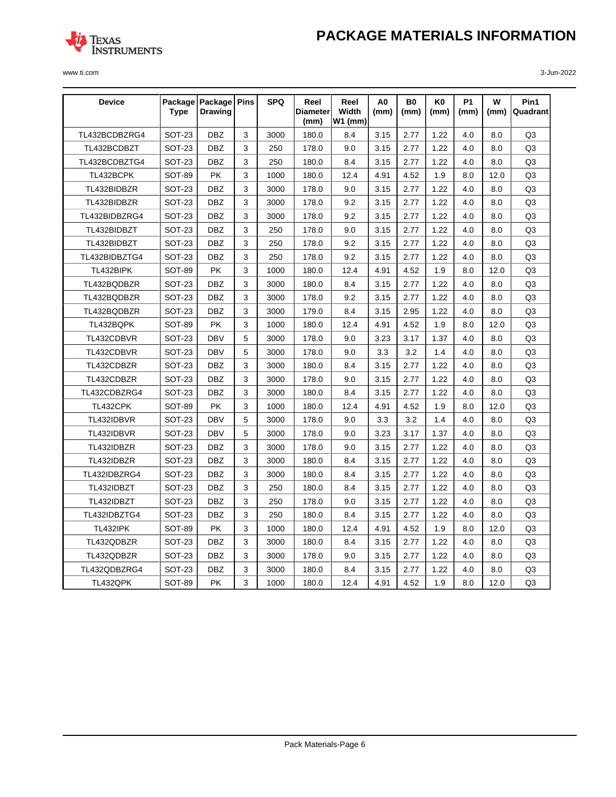

| <b>Device</b>   | <b>Type</b>   | Package   Package   Pins<br><b>Drawing</b> |   | <b>SPQ</b> | Reel<br>Diameter <br>(mm) | Reel<br>Width<br>$W1$ (mm) | A0<br>(mm) | B0<br>(mm) | K0<br>(mm) | <b>P1</b><br>(mm) | w<br>(mm) | Pin1<br>Quadrant |
|-----------------|---------------|--------------------------------------------|---|------------|---------------------------|----------------------------|------------|------------|------------|-------------------|-----------|------------------|
| TL432BCDBZRG4   | <b>SOT-23</b> | <b>DBZ</b>                                 | 3 | 3000       | 180.0                     | 8.4                        | 3.15       | 2.77       | 1.22       | 4.0               | 8.0       | Q <sub>3</sub>   |
| TL432BCDBZT     | <b>SOT-23</b> | <b>DBZ</b>                                 | 3 | 250        | 178.0                     | 9.0                        | 3.15       | 2.77       | 1.22       | 4.0               | 8.0       | Q3               |
| TL432BCDBZTG4   | SOT-23        | <b>DBZ</b>                                 | 3 | 250        | 180.0                     | 8.4                        | 3.15       | 2.77       | 1.22       | 4.0               | 8.0       | Q3               |
| TL432BCPK       | <b>SOT-89</b> | <b>PK</b>                                  | 3 | 1000       | 180.0                     | 12.4                       | 4.91       | 4.52       | 1.9        | 8.0               | 12.0      | Q3               |
| TL432BIDBZR     | <b>SOT-23</b> | <b>DBZ</b>                                 | 3 | 3000       | 178.0                     | 9.0                        | 3.15       | 2.77       | 1.22       | 4.0               | 8.0       | Q3               |
| TL432BIDBZR     | <b>SOT-23</b> | <b>DBZ</b>                                 | 3 | 3000       | 178.0                     | 9.2                        | 3.15       | 2.77       | 1.22       | 4.0               | 8.0       | Q3               |
| TL432BIDBZRG4   | <b>SOT-23</b> | <b>DBZ</b>                                 | 3 | 3000       | 178.0                     | 9.2                        | 3.15       | 2.77       | 1.22       | 4.0               | 8.0       | Q3               |
| TL432BIDBZT     | <b>SOT-23</b> | <b>DBZ</b>                                 | 3 | 250        | 178.0                     | 9.0                        | 3.15       | 2.77       | 1.22       | 4.0               | 8.0       | Q <sub>3</sub>   |
| TL432BIDBZT     | <b>SOT-23</b> | <b>DBZ</b>                                 | 3 | 250        | 178.0                     | 9.2                        | 3.15       | 2.77       | 1.22       | 4.0               | 8.0       | Q3               |
| TL432BIDBZTG4   | <b>SOT-23</b> | <b>DBZ</b>                                 | 3 | 250        | 178.0                     | 9.2                        | 3.15       | 2.77       | 1.22       | 4.0               | 8.0       | Q <sub>3</sub>   |
| TL432BIPK       | SOT-89        | <b>PK</b>                                  | 3 | 1000       | 180.0                     | 12.4                       | 4.91       | 4.52       | 1.9        | 8.0               | 12.0      | Q3               |
| TL432BQDBZR     | <b>SOT-23</b> | <b>DBZ</b>                                 | 3 | 3000       | 180.0                     | 8.4                        | 3.15       | 2.77       | 1.22       | 4.0               | 8.0       | Q3               |
| TL432BQDBZR     | <b>SOT-23</b> | <b>DBZ</b>                                 | 3 | 3000       | 178.0                     | 9.2                        | 3.15       | 2.77       | 1.22       | 4.0               | 8.0       | Q <sub>3</sub>   |
| TL432BQDBZR     | SOT-23        | <b>DBZ</b>                                 | 3 | 3000       | 179.0                     | 8.4                        | 3.15       | 2.95       | 1.22       | 4.0               | 8.0       | Q3               |
| TL432BQPK       | <b>SOT-89</b> | PK                                         | 3 | 1000       | 180.0                     | 12.4                       | 4.91       | 4.52       | 1.9        | 8.0               | 12.0      | Q3               |
| TL432CDBVR      | <b>SOT-23</b> | <b>DBV</b>                                 | 5 | 3000       | 178.0                     | 9.0                        | 3.23       | 3.17       | 1.37       | 4.0               | 8.0       | Q3               |
| TL432CDBVR      | SOT-23        | <b>DBV</b>                                 | 5 | 3000       | 178.0                     | 9.0                        | 3.3        | 3.2        | 1.4        | 4.0               | 8.0       | Q3               |
| TL432CDBZR      | <b>SOT-23</b> | <b>DBZ</b>                                 | 3 | 3000       | 180.0                     | 8.4                        | 3.15       | 2.77       | 1.22       | 4.0               | 8.0       | Q3               |
| TL432CDBZR      | <b>SOT-23</b> | <b>DBZ</b>                                 | 3 | 3000       | 178.0                     | 9.0                        | 3.15       | 2.77       | 1.22       | 4.0               | 8.0       | Q3               |
| TL432CDBZRG4    | <b>SOT-23</b> | <b>DBZ</b>                                 | 3 | 3000       | 180.0                     | 8.4                        | 3.15       | 2.77       | 1.22       | 4.0               | 8.0       | Q3               |
| TL432CPK        | <b>SOT-89</b> | <b>PK</b>                                  | 3 | 1000       | 180.0                     | 12.4                       | 4.91       | 4.52       | 1.9        | 8.0               | 12.0      | Q3               |
| TL432IDBVR      | <b>SOT-23</b> | <b>DBV</b>                                 | 5 | 3000       | 178.0                     | 9.0                        | 3.3        | 3.2        | 1.4        | 4.0               | 8.0       | Q3               |
| TL432IDBVR      | <b>SOT-23</b> | <b>DBV</b>                                 | 5 | 3000       | 178.0                     | 9.0                        | 3.23       | 3.17       | 1.37       | 4.0               | 8.0       | Q3               |
| TL432IDBZR      | <b>SOT-23</b> | <b>DBZ</b>                                 | 3 | 3000       | 178.0                     | 9.0                        | 3.15       | 2.77       | 1.22       | 4.0               | 8.0       | Q3               |
| TL432IDBZR      | <b>SOT-23</b> | <b>DBZ</b>                                 | 3 | 3000       | 180.0                     | 8.4                        | 3.15       | 2.77       | 1.22       | 4.0               | 8.0       | Q3               |
| TL432IDBZRG4    | <b>SOT-23</b> | <b>DBZ</b>                                 | 3 | 3000       | 180.0                     | 8.4                        | 3.15       | 2.77       | 1.22       | 4.0               | 8.0       | Q3               |
| TL432IDBZT      | SOT-23        | <b>DBZ</b>                                 | 3 | 250        | 180.0                     | 8.4                        | 3.15       | 2.77       | 1.22       | 4.0               | 8.0       | Q3               |
| TL432IDBZT      | <b>SOT-23</b> | <b>DBZ</b>                                 | 3 | 250        | 178.0                     | 9.0                        | 3.15       | 2.77       | 1.22       | 4.0               | 8.0       | Q3               |
| TL432IDBZTG4    | <b>SOT-23</b> | <b>DBZ</b>                                 | 3 | 250        | 180.0                     | 8.4                        | 3.15       | 2.77       | 1.22       | 4.0               | 8.0       | Q3               |
| <b>TL432IPK</b> | SOT-89        | <b>PK</b>                                  | 3 | 1000       | 180.0                     | 12.4                       | 4.91       | 4.52       | 1.9        | 8.0               | 12.0      | Q3               |
| TL432QDBZR      | <b>SOT-23</b> | <b>DBZ</b>                                 | 3 | 3000       | 180.0                     | 8.4                        | 3.15       | 2.77       | 1.22       | 4.0               | 8.0       | Q3               |
| TL432QDBZR      | <b>SOT-23</b> | <b>DBZ</b>                                 | 3 | 3000       | 178.0                     | 9.0                        | 3.15       | 2.77       | 1.22       | 4.0               | 8.0       | Q3               |
| TL432QDBZRG4    | SOT-23        | <b>DBZ</b>                                 | 3 | 3000       | 180.0                     | 8.4                        | 3.15       | 2.77       | 1.22       | 4.0               | 8.0       | Q3               |
| TL432QPK        | <b>SOT-89</b> | <b>PK</b>                                  | 3 | 1000       | 180.0                     | 12.4                       | 4.91       | 4.52       | 1.9        | 8.0               | 12.0      | Q <sub>3</sub>   |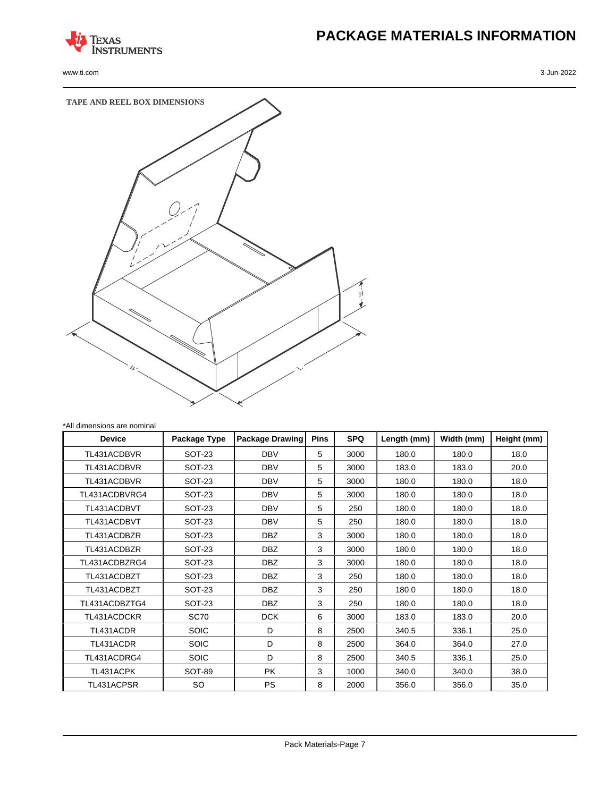

www.ti.com 3-Jun-2022

# **PACKAGE MATERIALS INFORMATION**



| <b>Device</b> | Package Type  | <b>Package Drawing</b> | <b>Pins</b> | <b>SPQ</b> | Length (mm) | Width (mm) | Height (mm) |
|---------------|---------------|------------------------|-------------|------------|-------------|------------|-------------|
| TL431ACDBVR   | <b>SOT-23</b> | <b>DBV</b>             | 5           | 3000       | 180.0       | 180.0      | 18.0        |
| TL431ACDBVR   | <b>SOT-23</b> | <b>DBV</b>             | 5           | 3000       | 183.0       | 183.0      | 20.0        |
| TL431ACDBVR   | <b>SOT-23</b> | <b>DBV</b>             | 5           | 3000       | 180.0       | 180.0      | 18.0        |
| TL431ACDBVRG4 | <b>SOT-23</b> | <b>DBV</b>             | 5           | 3000       | 180.0       | 180.0      | 18.0        |
| TL431ACDBVT   | <b>SOT-23</b> | <b>DBV</b>             | 5           | 250        | 180.0       | 180.0      | 18.0        |
| TL431ACDBVT   | <b>SOT-23</b> | <b>DBV</b>             | 5           | 250        | 180.0       | 180.0      | 18.0        |
| TL431ACDBZR   | <b>SOT-23</b> | DBZ                    | 3           | 3000       | 180.0       | 180.0      | 18.0        |
| TL431ACDBZR   | <b>SOT-23</b> | <b>DBZ</b>             | 3           | 3000       | 180.0       | 180.0      | 18.0        |
| TL431ACDBZRG4 | <b>SOT-23</b> | DBZ                    | 3           | 3000       | 180.0       | 180.0      | 18.0        |
| TL431ACDBZT   | <b>SOT-23</b> | DBZ                    | 3           | 250        | 180.0       | 180.0      | 18.0        |
| TL431ACDBZT   | <b>SOT-23</b> | DBZ                    | 3           | 250        | 180.0       | 180.0      | 18.0        |
| TL431ACDBZTG4 | <b>SOT-23</b> | <b>DBZ</b>             | 3           | 250        | 180.0       | 180.0      | 18.0        |
| TL431ACDCKR   | SC70          | <b>DCK</b>             | 6           | 3000       | 183.0       | 183.0      | 20.0        |
| TL431ACDR     | <b>SOIC</b>   | D                      | 8           | 2500       | 340.5       | 336.1      | 25.0        |
| TL431ACDR     | <b>SOIC</b>   | D                      | 8           | 2500       | 364.0       | 364.0      | 27.0        |
| TL431ACDRG4   | <b>SOIC</b>   | D                      | 8           | 2500       | 340.5       | 336.1      | 25.0        |
| TL431ACPK     | SOT-89        | <b>PK</b>              | 3           | 1000       | 340.0       | 340.0      | 38.0        |
| TL431ACPSR    | SO            | <b>PS</b>              | 8           | 2000       | 356.0       | 356.0      | 35.0        |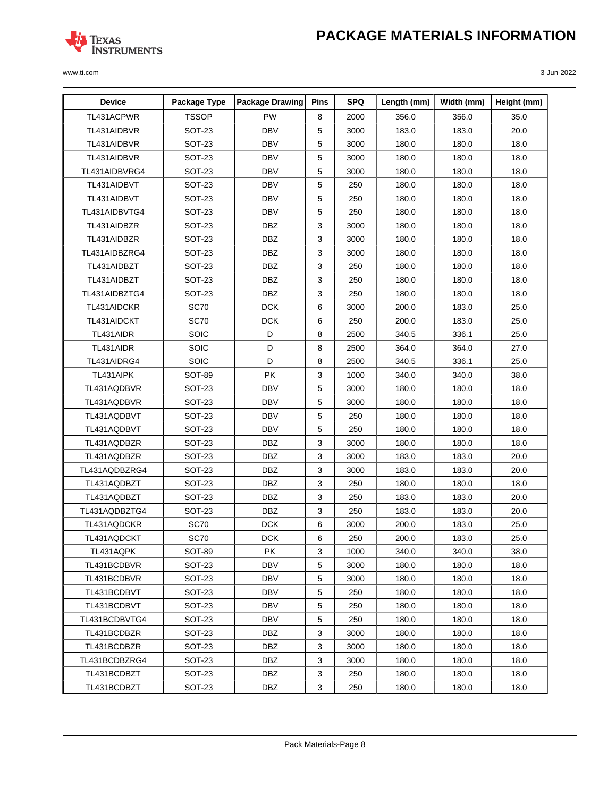

| <b>Device</b> | Package Type  | <b>Package Drawing</b> | <b>Pins</b> | <b>SPQ</b> | Length (mm) | Width (mm) | Height (mm) |
|---------------|---------------|------------------------|-------------|------------|-------------|------------|-------------|
| TL431ACPWR    | <b>TSSOP</b>  | <b>PW</b>              | 8           | 2000       | 356.0       | 356.0      | 35.0        |
| TL431AIDBVR   | <b>SOT-23</b> | <b>DBV</b>             | 5           | 3000       | 183.0       | 183.0      | 20.0        |
| TL431AIDBVR   | <b>SOT-23</b> | <b>DBV</b>             | 5           | 3000       | 180.0       | 180.0      | 18.0        |
| TL431AIDBVR   | SOT-23        | <b>DBV</b>             | 5           | 3000       | 180.0       | 180.0      | 18.0        |
| TL431AIDBVRG4 | <b>SOT-23</b> | <b>DBV</b>             | 5           | 3000       | 180.0       | 180.0      | 18.0        |
| TL431AIDBVT   | <b>SOT-23</b> | <b>DBV</b>             | 5           | 250        | 180.0       | 180.0      | 18.0        |
| TL431AIDBVT   | <b>SOT-23</b> | <b>DBV</b>             | 5           | 250        | 180.0       | 180.0      | 18.0        |
| TL431AIDBVTG4 | <b>SOT-23</b> | <b>DBV</b>             | 5           | 250        | 180.0       | 180.0      | 18.0        |
| TL431AIDBZR   | SOT-23        | <b>DBZ</b>             | 3           | 3000       | 180.0       | 180.0      | 18.0        |
| TL431AIDBZR   | <b>SOT-23</b> | <b>DBZ</b>             | 3           | 3000       | 180.0       | 180.0      | 18.0        |
| TL431AIDBZRG4 | <b>SOT-23</b> | <b>DBZ</b>             | 3           | 3000       | 180.0       | 180.0      | 18.0        |
| TL431AIDBZT   | <b>SOT-23</b> | <b>DBZ</b>             | 3           | 250        | 180.0       | 180.0      | 18.0        |
| TL431AIDBZT   | <b>SOT-23</b> | <b>DBZ</b>             | 3           | 250        | 180.0       | 180.0      | 18.0        |
| TL431AIDBZTG4 | SOT-23        | <b>DBZ</b>             | 3           | 250        | 180.0       | 180.0      | 18.0        |
| TL431AIDCKR   | <b>SC70</b>   | <b>DCK</b>             | 6           | 3000       | 200.0       | 183.0      | 25.0        |
| TL431AIDCKT   | <b>SC70</b>   | <b>DCK</b>             | 6           | 250        | 200.0       | 183.0      | 25.0        |
| TL431AIDR     | <b>SOIC</b>   | D                      | 8           | 2500       | 340.5       | 336.1      | 25.0        |
| TL431AIDR     | <b>SOIC</b>   | D                      | 8           | 2500       | 364.0       | 364.0      | 27.0        |
| TL431AIDRG4   | SOIC          | D                      | 8           | 2500       | 340.5       | 336.1      | 25.0        |
| TL431AIPK     | <b>SOT-89</b> | <b>PK</b>              | 3           | 1000       | 340.0       | 340.0      | 38.0        |
| TL431AQDBVR   | <b>SOT-23</b> | <b>DBV</b>             | 5           | 3000       | 180.0       | 180.0      | 18.0        |
| TL431AQDBVR   | <b>SOT-23</b> | <b>DBV</b>             | 5           | 3000       | 180.0       | 180.0      | 18.0        |
| TL431AQDBVT   | <b>SOT-23</b> | <b>DBV</b>             | 5           | 250        | 180.0       | 180.0      | 18.0        |
| TL431AQDBVT   | <b>SOT-23</b> | <b>DBV</b>             | 5           | 250        | 180.0       | 180.0      | 18.0        |
| TL431AQDBZR   | <b>SOT-23</b> | <b>DBZ</b>             | 3           | 3000       | 180.0       | 180.0      | 18.0        |
| TL431AQDBZR   | <b>SOT-23</b> | <b>DBZ</b>             | 3           | 3000       | 183.0       | 183.0      | 20.0        |
| TL431AQDBZRG4 | <b>SOT-23</b> | <b>DBZ</b>             | 3           | 3000       | 183.0       | 183.0      | 20.0        |
| TL431AQDBZT   | SOT-23        | <b>DBZ</b>             | 3           | 250        | 180.0       | 180.0      | 18.0        |
| TL431AQDBZT   | <b>SOT-23</b> | <b>DBZ</b>             | 3           | 250        | 183.0       | 183.0      | 20.0        |
| TL431AQDBZTG4 | <b>SOT-23</b> | <b>DBZ</b>             | 3           | 250        | 183.0       | 183.0      | 20.0        |
| TL431AQDCKR   | <b>SC70</b>   | <b>DCK</b>             | 6           | 3000       | 200.0       | 183.0      | 25.0        |
| TL431AQDCKT   | <b>SC70</b>   | <b>DCK</b>             | 6           | 250        | 200.0       | 183.0      | 25.0        |
| TL431AQPK     | <b>SOT-89</b> | <b>PK</b>              | 3           | 1000       | 340.0       | 340.0      | 38.0        |
| TL431BCDBVR   | <b>SOT-23</b> | <b>DBV</b>             | 5           | 3000       | 180.0       | 180.0      | 18.0        |
| TL431BCDBVR   | <b>SOT-23</b> | DBV                    | 5           | 3000       | 180.0       | 180.0      | 18.0        |
| TL431BCDBVT   | SOT-23        | DBV                    | 5           | 250        | 180.0       | 180.0      | 18.0        |
| TL431BCDBVT   | SOT-23        | <b>DBV</b>             | 5           | 250        | 180.0       | 180.0      | 18.0        |
| TL431BCDBVTG4 | <b>SOT-23</b> | DBV                    | 5           | 250        | 180.0       | 180.0      | 18.0        |
| TL431BCDBZR   | <b>SOT-23</b> | DBZ                    | 3           | 3000       | 180.0       | 180.0      | 18.0        |
| TL431BCDBZR   | SOT-23        | DBZ                    | 3           | 3000       | 180.0       | 180.0      | 18.0        |
| TL431BCDBZRG4 | <b>SOT-23</b> | DBZ                    | 3           | 3000       | 180.0       | 180.0      | 18.0        |
| TL431BCDBZT   | SOT-23        | DBZ                    | 3           | 250        | 180.0       | 180.0      | 18.0        |
| TL431BCDBZT   | SOT-23        | DBZ                    | 3           | 250        | 180.0       | 180.0      | 18.0        |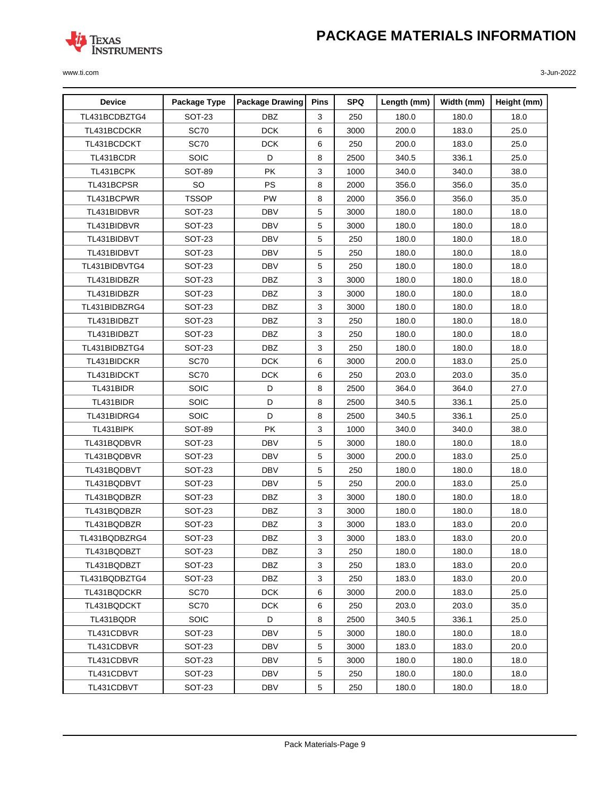

| <b>Device</b> | Package Type  | <b>Package Drawing</b> | <b>Pins</b>  | <b>SPQ</b> | Length (mm) | Width (mm) | Height (mm) |
|---------------|---------------|------------------------|--------------|------------|-------------|------------|-------------|
| TL431BCDBZTG4 | <b>SOT-23</b> | <b>DBZ</b>             | 3            | 250        | 180.0       | 180.0      | 18.0        |
| TL431BCDCKR   | <b>SC70</b>   | <b>DCK</b>             | 6            | 3000       | 200.0       | 183.0      | 25.0        |
| TL431BCDCKT   | <b>SC70</b>   | <b>DCK</b>             | 6            | 250        | 200.0       | 183.0      | 25.0        |
| TL431BCDR     | <b>SOIC</b>   | D                      | 8            | 2500       | 340.5       | 336.1      | 25.0        |
| TL431BCPK     | SOT-89        | <b>PK</b>              | 3            | 1000       | 340.0       | 340.0      | 38.0        |
| TL431BCPSR    | <b>SO</b>     | PS                     | 8            | 2000       | 356.0       | 356.0      | 35.0        |
| TL431BCPWR    | <b>TSSOP</b>  | PW                     | 8            | 2000       | 356.0       | 356.0      | 35.0        |
| TL431BIDBVR   | <b>SOT-23</b> | <b>DBV</b>             | 5            | 3000       | 180.0       | 180.0      | 18.0        |
| TL431BIDBVR   | SOT-23        | <b>DBV</b>             | 5            | 3000       | 180.0       | 180.0      | 18.0        |
| TL431BIDBVT   | SOT-23        | <b>DBV</b>             | 5            | 250        | 180.0       | 180.0      | 18.0        |
| TL431BIDBVT   | <b>SOT-23</b> | <b>DBV</b>             | 5            | 250        | 180.0       | 180.0      | 18.0        |
| TL431BIDBVTG4 | SOT-23        | <b>DBV</b>             | 5            | 250        | 180.0       | 180.0      | 18.0        |
| TL431BIDBZR   | SOT-23        | DBZ                    | 3            | 3000       | 180.0       | 180.0      | 18.0        |
| TL431BIDBZR   | <b>SOT-23</b> | <b>DBZ</b>             | 3            | 3000       | 180.0       | 180.0      | 18.0        |
| TL431BIDBZRG4 | SOT-23        | <b>DBZ</b>             | $\mathbf{3}$ | 3000       | 180.0       | 180.0      | 18.0        |
| TL431BIDBZT   | <b>SOT-23</b> | <b>DBZ</b>             | 3            | 250        | 180.0       | 180.0      | 18.0        |
| TL431BIDBZT   | <b>SOT-23</b> | <b>DBZ</b>             | 3            | 250        | 180.0       | 180.0      | 18.0        |
| TL431BIDBZTG4 | SOT-23        | <b>DBZ</b>             | 3            | 250        | 180.0       | 180.0      | 18.0        |
| TL431BIDCKR   | <b>SC70</b>   | <b>DCK</b>             | 6            | 3000       | 200.0       | 183.0      | 25.0        |
| TL431BIDCKT   | <b>SC70</b>   | <b>DCK</b>             | 6            | 250        | 203.0       | 203.0      | 35.0        |
| TL431BIDR     | <b>SOIC</b>   | D                      | 8            | 2500       | 364.0       | 364.0      | 27.0        |
| TL431BIDR     | <b>SOIC</b>   | D                      | 8            | 2500       | 340.5       | 336.1      | 25.0        |
| TL431BIDRG4   | SOIC          | D                      | 8            | 2500       | 340.5       | 336.1      | 25.0        |
| TL431BIPK     | <b>SOT-89</b> | <b>PK</b>              | 3            | 1000       | 340.0       | 340.0      | 38.0        |
| TL431BQDBVR   | <b>SOT-23</b> | <b>DBV</b>             | 5            | 3000       | 180.0       | 180.0      | 18.0        |
| TL431BQDBVR   | <b>SOT-23</b> | <b>DBV</b>             | 5            | 3000       | 200.0       | 183.0      | 25.0        |
| TL431BQDBVT   | <b>SOT-23</b> | <b>DBV</b>             | 5            | 250        | 180.0       | 180.0      | 18.0        |
| TL431BQDBVT   | <b>SOT-23</b> | <b>DBV</b>             | 5            | 250        | 200.0       | 183.0      | 25.0        |
| TL431BQDBZR   | SOT-23        | <b>DBZ</b>             | 3            | 3000       | 180.0       | 180.0      | 18.0        |
| TL431BQDBZR   | <b>SOT-23</b> | <b>DBZ</b>             | 3            | 3000       | 180.0       | 180.0      | 18.0        |
| TL431BQDBZR   | <b>SOT-23</b> | <b>DBZ</b>             | $\mathbf{3}$ | 3000       | 183.0       | 183.0      | 20.0        |
| TL431BQDBZRG4 | <b>SOT-23</b> | <b>DBZ</b>             | 3            | 3000       | 183.0       | 183.0      | 20.0        |
| TL431BQDBZT   | <b>SOT-23</b> | <b>DBZ</b>             | 3            | 250        | 180.0       | 180.0      | 18.0        |
| TL431BQDBZT   | <b>SOT-23</b> | <b>DBZ</b>             | 3            | 250        | 183.0       | 183.0      | 20.0        |
| TL431BQDBZTG4 | <b>SOT-23</b> | DBZ                    | 3            | 250        | 183.0       | 183.0      | 20.0        |
| TL431BQDCKR   | SC70          | DCK                    | 6            | 3000       | 200.0       | 183.0      | 25.0        |
| TL431BQDCKT   | SC70          | DCK                    | 6            | 250        | 203.0       | 203.0      | 35.0        |
| TL431BQDR     | SOIC          | D                      | 8            | 2500       | 340.5       | 336.1      | 25.0        |
| TL431CDBVR    | <b>SOT-23</b> | <b>DBV</b>             | 5            | 3000       | 180.0       | 180.0      | 18.0        |
| TL431CDBVR    | <b>SOT-23</b> | DBV                    | 5            | 3000       | 183.0       | 183.0      | 20.0        |
| TL431CDBVR    | <b>SOT-23</b> | DBV                    | 5            | 3000       | 180.0       | 180.0      | 18.0        |
| TL431CDBVT    | <b>SOT-23</b> | DBV                    | 5            | 250        | 180.0       | 180.0      | 18.0        |
| TL431CDBVT    | <b>SOT-23</b> | DBV                    | 5            | 250        | 180.0       | 180.0      | 18.0        |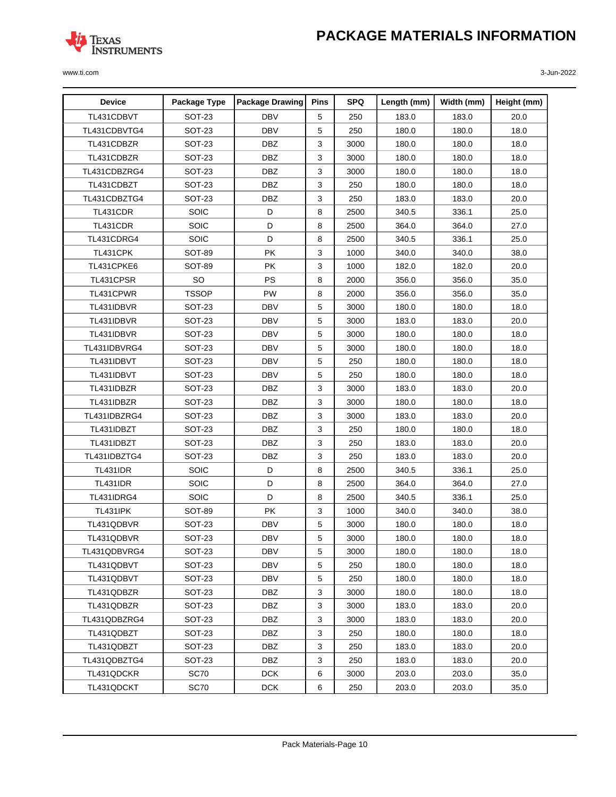

| <b>Device</b>     | Package Type  | <b>Package Drawing</b> | <b>Pins</b> | <b>SPQ</b> | Length (mm) | Width (mm) | Height (mm) |
|-------------------|---------------|------------------------|-------------|------------|-------------|------------|-------------|
| TL431CDBVT        | <b>SOT-23</b> | <b>DBV</b>             | 5           | 250        | 183.0       | 183.0      | 20.0        |
| TL431CDBVTG4      | <b>SOT-23</b> | <b>DBV</b>             | 5           | 250        | 180.0       | 180.0      | 18.0        |
| TL431CDBZR        | <b>SOT-23</b> | <b>DBZ</b>             | 3           | 3000       | 180.0       | 180.0      | 18.0        |
| TL431CDBZR        | SOT-23        | <b>DBZ</b>             | 3           | 3000       | 180.0       | 180.0      | 18.0        |
| TL431CDBZRG4      | <b>SOT-23</b> | <b>DBZ</b>             | 3           | 3000       | 180.0       | 180.0      | 18.0        |
| TL431CDBZT        | <b>SOT-23</b> | <b>DBZ</b>             | 3           | 250        | 180.0       | 180.0      | 18.0        |
| TL431CDBZTG4      | SOT-23        | <b>DBZ</b>             | 3           | 250        | 183.0       | 183.0      | 20.0        |
| TL431CDR          | <b>SOIC</b>   | D                      | 8           | 2500       | 340.5       | 336.1      | 25.0        |
| TL431CDR          | <b>SOIC</b>   | D                      | 8           | 2500       | 364.0       | 364.0      | 27.0        |
| TL431CDRG4        | SOIC          | D                      | 8           | 2500       | 340.5       | 336.1      | 25.0        |
| TL431CPK          | <b>SOT-89</b> | <b>PK</b>              | 3           | 1000       | 340.0       | 340.0      | 38.0        |
| TL431CPKE6        | <b>SOT-89</b> | <b>PK</b>              | 3           | 1000       | 182.0       | 182.0      | 20.0        |
| TL431CPSR         | SO            | PS                     | 8           | 2000       | 356.0       | 356.0      | 35.0        |
| TL431CPWR         | <b>TSSOP</b>  | <b>PW</b>              | 8           | 2000       | 356.0       | 356.0      | 35.0        |
| TL431IDBVR        | <b>SOT-23</b> | <b>DBV</b>             | 5           | 3000       | 180.0       | 180.0      | 18.0        |
| TL431IDBVR        | SOT-23        | <b>DBV</b>             | 5           | 3000       | 183.0       | 183.0      | 20.0        |
| TL431IDBVR        | <b>SOT-23</b> | <b>DBV</b>             | 5           | 3000       | 180.0       | 180.0      | 18.0        |
| TL431IDBVRG4      | <b>SOT-23</b> | <b>DBV</b>             | 5           | 3000       | 180.0       | 180.0      | 18.0        |
| TL431IDBVT        | <b>SOT-23</b> | <b>DBV</b>             | 5           | 250        | 180.0       | 180.0      | 18.0        |
| TL431IDBVT        | SOT-23        | <b>DBV</b>             | 5           | 250        | 180.0       | 180.0      | 18.0        |
| TL431IDBZR        | <b>SOT-23</b> | <b>DBZ</b>             | 3           | 3000       | 183.0       | 183.0      | 20.0        |
| TL431IDBZR        | <b>SOT-23</b> | <b>DBZ</b>             | 3           | 3000       | 180.0       | 180.0      | 18.0        |
| TL431IDBZRG4      | <b>SOT-23</b> | <b>DBZ</b>             | 3           | 3000       | 183.0       | 183.0      | 20.0        |
| TL431IDBZT        | <b>SOT-23</b> | <b>DBZ</b>             | 3           | 250        | 180.0       | 180.0      | 18.0        |
| TL431IDBZT        | <b>SOT-23</b> | <b>DBZ</b>             | 3           | 250        | 183.0       | 183.0      | 20.0        |
| TL431IDBZTG4      | SOT-23        | <b>DBZ</b>             | 3           | 250        | 183.0       | 183.0      | 20.0        |
| <b>TL431IDR</b>   | SOIC          | D                      | 8           | 2500       | 340.5       | 336.1      | 25.0        |
| <b>TL431IDR</b>   | <b>SOIC</b>   | D                      | 8           | 2500       | 364.0       | 364.0      | 27.0        |
| <b>TL431IDRG4</b> | SOIC          | D                      | 8           | 2500       | 340.5       | 336.1      | 25.0        |
| <b>TL431IPK</b>   | SOT-89        | <b>PK</b>              | 3           | 1000       | 340.0       | 340.0      | 38.0        |
| TL431QDBVR        | <b>SOT-23</b> | <b>DBV</b>             | 5           | 3000       | 180.0       | 180.0      | 18.0        |
| TL431QDBVR        | SOT-23        | <b>DBV</b>             | 5           | 3000       | 180.0       | 180.0      | 18.0        |
| TL431QDBVRG4      | <b>SOT-23</b> | <b>DBV</b>             | 5           | 3000       | 180.0       | 180.0      | 18.0        |
| TL431QDBVT        | <b>SOT-23</b> | <b>DBV</b>             | 5           | 250        | 180.0       | 180.0      | 18.0        |
| TL431QDBVT        | <b>SOT-23</b> | DBV                    | 5           | 250        | 180.0       | 180.0      | 18.0        |
| TL431QDBZR        | SOT-23        | DBZ                    | 3           | 3000       | 180.0       | 180.0      | 18.0        |
| TL431QDBZR        | <b>SOT-23</b> | DBZ                    | 3           | 3000       | 183.0       | 183.0      | 20.0        |
| TL431QDBZRG4      | <b>SOT-23</b> | DBZ                    | 3           | 3000       | 183.0       | 183.0      | 20.0        |
| TL431QDBZT        | <b>SOT-23</b> | DBZ                    | 3           | 250        | 180.0       | 180.0      | 18.0        |
| TL431QDBZT        | <b>SOT-23</b> | DBZ                    | 3           | 250        | 183.0       | 183.0      | 20.0        |
| TL431QDBZTG4      | <b>SOT-23</b> | <b>DBZ</b>             | 3           | 250        | 183.0       | 183.0      | 20.0        |
| TL431QDCKR        | SC70          | DCK                    | 6           | 3000       | 203.0       | 203.0      | 35.0        |
| TL431QDCKT        | <b>SC70</b>   | <b>DCK</b>             | 6           | 250        | 203.0       | 203.0      | 35.0        |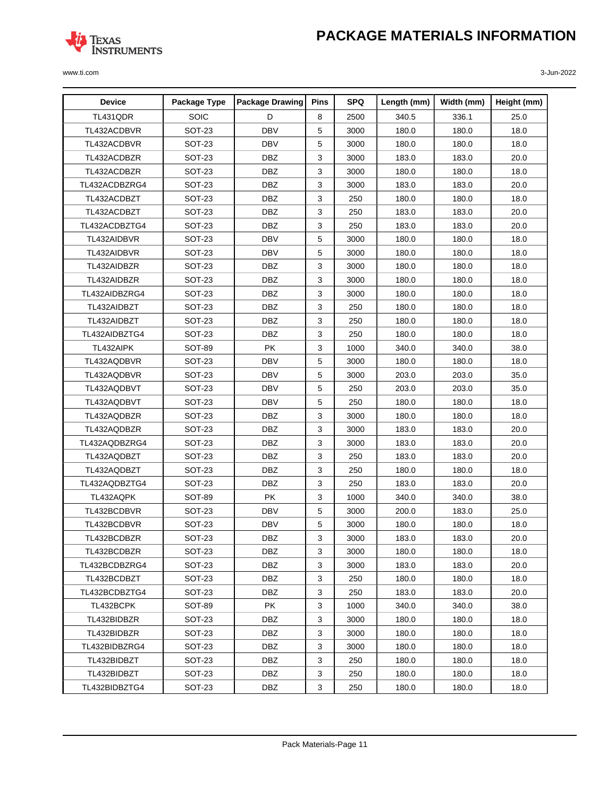

| <b>Device</b> | Package Type  | <b>Package Drawing</b> | Pins | <b>SPQ</b> | Length (mm) | Width (mm) | Height (mm) |
|---------------|---------------|------------------------|------|------------|-------------|------------|-------------|
| TL431QDR      | SOIC          | D                      | 8    | 2500       | 340.5       | 336.1      | 25.0        |
| TL432ACDBVR   | <b>SOT-23</b> | <b>DBV</b>             | 5    | 3000       | 180.0       | 180.0      | 18.0        |
| TL432ACDBVR   | <b>SOT-23</b> | <b>DBV</b>             | 5    | 3000       | 180.0       | 180.0      | 18.0        |
| TL432ACDBZR   | <b>SOT-23</b> | <b>DBZ</b>             | 3    | 3000       | 183.0       | 183.0      | 20.0        |
| TL432ACDBZR   | <b>SOT-23</b> | <b>DBZ</b>             | 3    | 3000       | 180.0       | 180.0      | 18.0        |
| TL432ACDBZRG4 | SOT-23        | DBZ                    | 3    | 3000       | 183.0       | 183.0      | 20.0        |
| TL432ACDBZT   | <b>SOT-23</b> | <b>DBZ</b>             | 3    | 250        | 180.0       | 180.0      | 18.0        |
| TL432ACDBZT   | SOT-23        | <b>DBZ</b>             | 3    | 250        | 183.0       | 183.0      | 20.0        |
| TL432ACDBZTG4 | SOT-23        | <b>DBZ</b>             | 3    | 250        | 183.0       | 183.0      | 20.0        |
| TL432AIDBVR   | <b>SOT-23</b> | <b>DBV</b>             | 5    | 3000       | 180.0       | 180.0      | 18.0        |
| TL432AIDBVR   | <b>SOT-23</b> | <b>DBV</b>             | 5    | 3000       | 180.0       | 180.0      | 18.0        |
| TL432AIDBZR   | <b>SOT-23</b> | <b>DBZ</b>             | 3    | 3000       | 180.0       | 180.0      | 18.0        |
| TL432AIDBZR   | <b>SOT-23</b> | <b>DBZ</b>             | 3    | 3000       | 180.0       | 180.0      | 18.0        |
| TL432AIDBZRG4 | SOT-23        | <b>DBZ</b>             | 3    | 3000       | 180.0       | 180.0      | 18.0        |
| TL432AIDBZT   | <b>SOT-23</b> | <b>DBZ</b>             | 3    | 250        | 180.0       | 180.0      | 18.0        |
| TL432AIDBZT   | <b>SOT-23</b> | <b>DBZ</b>             | 3    | 250        | 180.0       | 180.0      | 18.0        |
| TL432AIDBZTG4 | SOT-23        | <b>DBZ</b>             | 3    | 250        | 180.0       | 180.0      | 18.0        |
| TL432AIPK     | SOT-89        | <b>PK</b>              | 3    | 1000       | 340.0       | 340.0      | 38.0        |
| TL432AQDBVR   | <b>SOT-23</b> | <b>DBV</b>             | 5    | 3000       | 180.0       | 180.0      | 18.0        |
| TL432AQDBVR   | <b>SOT-23</b> | <b>DBV</b>             | 5    | 3000       | 203.0       | 203.0      | 35.0        |
| TL432AQDBVT   | <b>SOT-23</b> | <b>DBV</b>             | 5    | 250        | 203.0       | 203.0      | 35.0        |
| TL432AQDBVT   | <b>SOT-23</b> | <b>DBV</b>             | 5    | 250        | 180.0       | 180.0      | 18.0        |
| TL432AQDBZR   | <b>SOT-23</b> | <b>DBZ</b>             | 3    | 3000       | 180.0       | 180.0      | 18.0        |
| TL432AQDBZR   | <b>SOT-23</b> | <b>DBZ</b>             | 3    | 3000       | 183.0       | 183.0      | 20.0        |
| TL432AQDBZRG4 | <b>SOT-23</b> | <b>DBZ</b>             | 3    | 3000       | 183.0       | 183.0      | 20.0        |
| TL432AQDBZT   | <b>SOT-23</b> | <b>DBZ</b>             | 3    | 250        | 183.0       | 183.0      | 20.0        |
| TL432AQDBZT   | <b>SOT-23</b> | <b>DBZ</b>             | 3    | 250        | 180.0       | 180.0      | 18.0        |
| TL432AQDBZTG4 | SOT-23        | <b>DBZ</b>             | 3    | 250        | 183.0       | 183.0      | 20.0        |
| TL432AQPK     | <b>SOT-89</b> | PK                     | 3    | 1000       | 340.0       | 340.0      | 38.0        |
| TL432BCDBVR   | <b>SOT-23</b> | <b>DBV</b>             | 5    | 3000       | 200.0       | 183.0      | 25.0        |
| TL432BCDBVR   | <b>SOT-23</b> | <b>DBV</b>             | 5    | 3000       | 180.0       | 180.0      | 18.0        |
| TL432BCDBZR   | SOT-23        | <b>DBZ</b>             | 3    | 3000       | 183.0       | 183.0      | 20.0        |
| TL432BCDBZR   | <b>SOT-23</b> | <b>DBZ</b>             | 3    | 3000       | 180.0       | 180.0      | 18.0        |
| TL432BCDBZRG4 | <b>SOT-23</b> | DBZ                    | 3    | 3000       | 183.0       | 183.0      | 20.0        |
| TL432BCDBZT   | <b>SOT-23</b> | DBZ                    | 3    | 250        | 180.0       | 180.0      | 18.0        |
| TL432BCDBZTG4 | SOT-23        | DBZ                    | 3    | 250        | 183.0       | 183.0      | 20.0        |
| TL432BCPK     | SOT-89        | <b>PK</b>              | 3    | 1000       | 340.0       | 340.0      | 38.0        |
| TL432BIDBZR   | SOT-23        | DBZ                    | 3    | 3000       | 180.0       | 180.0      | 18.0        |
| TL432BIDBZR   | <b>SOT-23</b> | DBZ                    | 3    | 3000       | 180.0       | 180.0      | 18.0        |
| TL432BIDBZRG4 | SOT-23        | DBZ                    | 3    | 3000       | 180.0       | 180.0      | 18.0        |
| TL432BIDBZT   | <b>SOT-23</b> | DBZ                    | 3    | 250        | 180.0       | 180.0      | 18.0        |
| TL432BIDBZT   | SOT-23        | DBZ                    | 3    | 250        | 180.0       | 180.0      | 18.0        |
| TL432BIDBZTG4 | <b>SOT-23</b> | DBZ                    | 3    | 250        | 180.0       | 180.0      | 18.0        |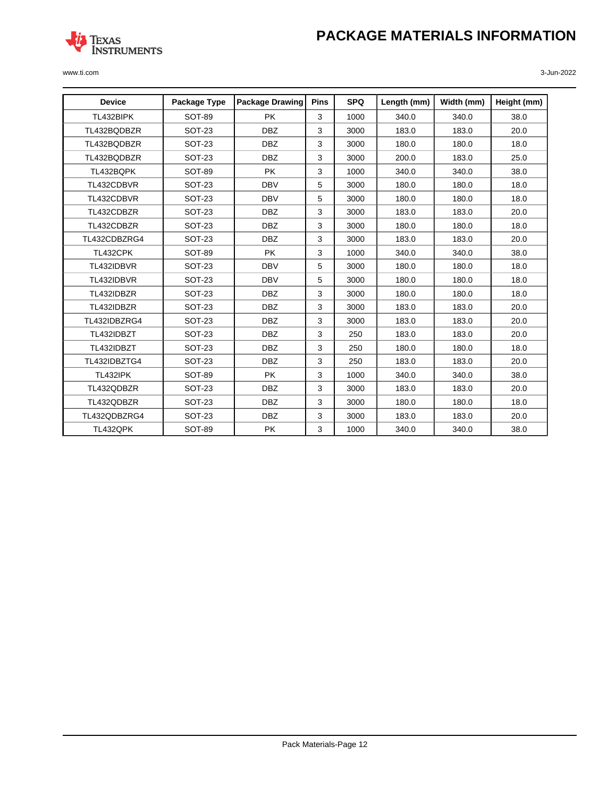

| <b>Device</b>   | Package Type  | <b>Package Drawing</b> | <b>Pins</b> | <b>SPQ</b> | Length (mm) | Width (mm) | Height (mm) |
|-----------------|---------------|------------------------|-------------|------------|-------------|------------|-------------|
| TL432BIPK       | <b>SOT-89</b> | <b>PK</b>              | 3           | 1000       | 340.0       | 340.0      | 38.0        |
| TL432BQDBZR     | <b>SOT-23</b> | <b>DBZ</b>             | 3           | 3000       | 183.0       | 183.0      | 20.0        |
| TL432BQDBZR     | <b>SOT-23</b> | <b>DBZ</b>             | 3           | 3000       | 180.0       | 180.0      | 18.0        |
| TL432BQDBZR     | <b>SOT-23</b> | <b>DBZ</b>             | 3           | 3000       | 200.0       | 183.0      | 25.0        |
| TL432BQPK       | <b>SOT-89</b> | <b>PK</b>              | 3           | 1000       | 340.0       | 340.0      | 38.0        |
| TL432CDBVR      | <b>SOT-23</b> | <b>DBV</b>             | 5           | 3000       | 180.0       | 180.0      | 18.0        |
| TL432CDBVR      | <b>SOT-23</b> | <b>DBV</b>             | 5           | 3000       | 180.0       | 180.0      | 18.0        |
| TL432CDBZR      | <b>SOT-23</b> | <b>DBZ</b>             | 3           | 3000       | 183.0       | 183.0      | 20.0        |
| TL432CDBZR      | <b>SOT-23</b> | <b>DBZ</b>             | 3           | 3000       | 180.0       | 180.0      | 18.0        |
| TL432CDBZRG4    | <b>SOT-23</b> | <b>DBZ</b>             | 3           | 3000       | 183.0       | 183.0      | 20.0        |
| TL432CPK        | SOT-89        | <b>PK</b>              | 3           | 1000       | 340.0       | 340.0      | 38.0        |
| TL432IDBVR      | <b>SOT-23</b> | <b>DBV</b>             | 5           | 3000       | 180.0       | 180.0      | 18.0        |
| TL432IDBVR      | <b>SOT-23</b> | <b>DBV</b>             | 5           | 3000       | 180.0       | 180.0      | 18.0        |
| TL432IDBZR      | <b>SOT-23</b> | <b>DBZ</b>             | 3           | 3000       | 180.0       | 180.0      | 18.0        |
| TL432IDBZR      | <b>SOT-23</b> | <b>DBZ</b>             | 3           | 3000       | 183.0       | 183.0      | 20.0        |
| TL432IDBZRG4    | <b>SOT-23</b> | <b>DBZ</b>             | 3           | 3000       | 183.0       | 183.0      | 20.0        |
| TL432IDBZT      | <b>SOT-23</b> | <b>DBZ</b>             | 3           | 250        | 183.0       | 183.0      | 20.0        |
| TL432IDBZT      | <b>SOT-23</b> | <b>DBZ</b>             | 3           | 250        | 180.0       | 180.0      | 18.0        |
| TL432IDBZTG4    | <b>SOT-23</b> | <b>DBZ</b>             | 3           | 250        | 183.0       | 183.0      | 20.0        |
| <b>TL432IPK</b> | <b>SOT-89</b> | <b>PK</b>              | 3           | 1000       | 340.0       | 340.0      | 38.0        |
| TL432QDBZR      | <b>SOT-23</b> | <b>DBZ</b>             | 3           | 3000       | 183.0       | 183.0      | 20.0        |
| TL432QDBZR      | <b>SOT-23</b> | <b>DBZ</b>             | 3           | 3000       | 180.0       | 180.0      | 18.0        |
| TL432QDBZRG4    | <b>SOT-23</b> | <b>DBZ</b>             | 3           | 3000       | 183.0       | 183.0      | 20.0        |
| TL432QPK        | SOT-89        | <b>PK</b>              | 3           | 1000       | 340.0       | 340.0      | 38.0        |